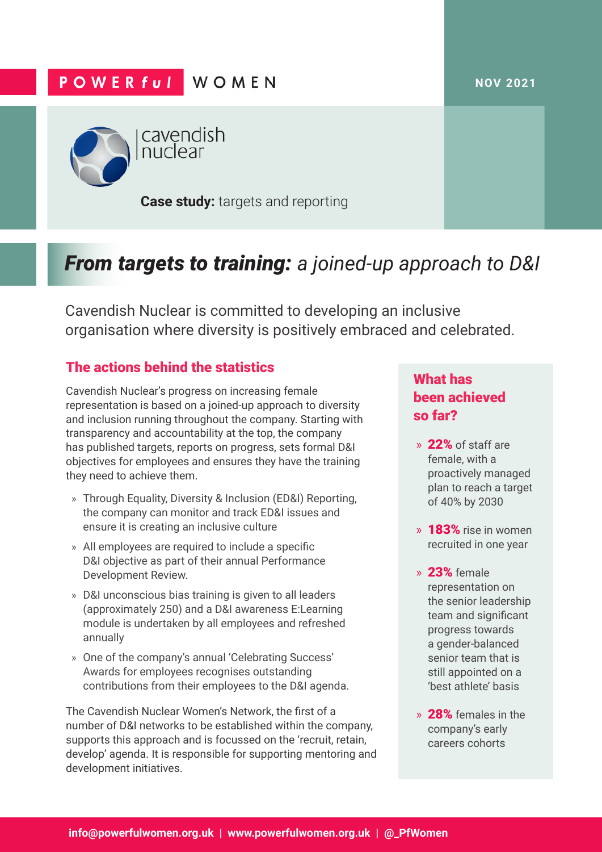#### **NOV 2021**

## **POWERful WOMEN**



cavendish nuclear

**Case study:** targets and reporting

# *From targets to training: a joined-up approach to D&I*

Cavendish Nuclear is committed to developing an inclusive organisation where diversity is positively embraced and celebrated.

## The actions behind the statistics

Cavendish Nuclear's progress on increasing female representation is based on a joined-up approach to diversity and inclusion running throughout the company. Starting with transparency and accountability at the top, the company has published targets, reports on progress, sets formal D&I objectives for employees and ensures they have the training they need to achieve them.

- » Through Equality, Diversity & Inclusion (ED&I) Reporting, the company can monitor and track ED&I issues and ensure it is creating an inclusive culture
- » All employees are required to include a specific D&I objective as part of their annual Performance Development Review.
- » D&I unconscious bias training is given to all leaders (approximately 250) and a D&I awareness E:Learning module is undertaken by all employees and refreshed annually
- » One of the company's annual 'Celebrating Success' Awards for employees recognises outstanding contributions from their employees to the D&I agenda.

The Cavendish Nuclear Women's Network, the first of a number of D&I networks to be established within the company, supports this approach and is focussed on the 'recruit, retain, develop' agenda. It is responsible for supporting mentoring and development initiatives.

## What has been achieved so far?

- » 22% of staff are female, with a proactively managed plan to reach a target of 40% by 2030
- » 183% rise in women recruited in one year
- » 23% female representation on the senior leadership team and significant progress towards a gender-balanced senior team that is still appointed on a 'best athlete' basis
- » 28% females in the company's early careers cohorts